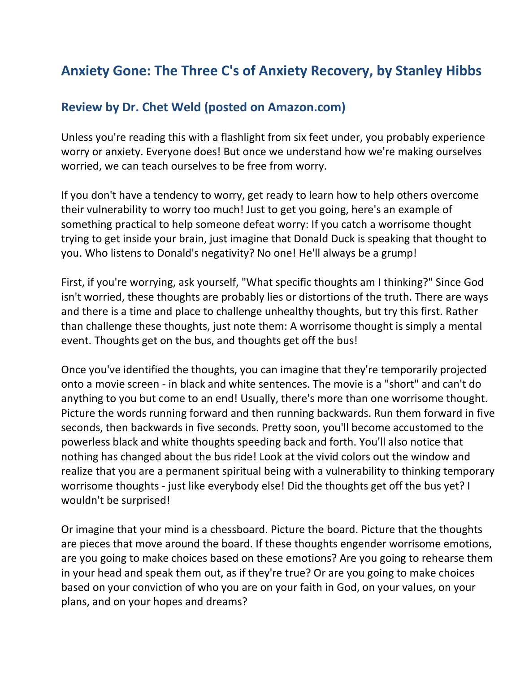## **Anxiety Gone: The Three C's of Anxiety Recovery, by Stanley Hibbs**

## **Review by Dr. Chet Weld (posted on Amazon.com)**

Unless you're reading this with a flashlight from six feet under, you probably experience worry or anxiety. Everyone does! But once we understand how we're making ourselves worried, we can teach ourselves to be free from worry.

If you don't have a tendency to worry, get ready to learn how to help others overcome their vulnerability to worry too much! Just to get you going, here's an example of something practical to help someone defeat worry: If you catch a worrisome thought trying to get inside your brain, just imagine that Donald Duck is speaking that thought to you. Who listens to Donald's negativity? No one! He'll always be a grump!

First, if you're worrying, ask yourself, "What specific thoughts am I thinking?" Since God isn't worried, these thoughts are probably lies or distortions of the truth. There are ways and there is a time and place to challenge unhealthy thoughts, but try this first. Rather than challenge these thoughts, just note them: A worrisome thought is simply a mental event. Thoughts get on the bus, and thoughts get off the bus!

Once you've identified the thoughts, you can imagine that they're temporarily projected onto a movie screen - in black and white sentences. The movie is a "short" and can't do anything to you but come to an end! Usually, there's more than one worrisome thought. Picture the words running forward and then running backwards. Run them forward in five seconds, then backwards in five seconds. Pretty soon, you'll become accustomed to the powerless black and white thoughts speeding back and forth. You'll also notice that nothing has changed about the bus ride! Look at the vivid colors out the window and realize that you are a permanent spiritual being with a vulnerability to thinking temporary worrisome thoughts - just like everybody else! Did the thoughts get off the bus yet? I wouldn't be surprised!

Or imagine that your mind is a chessboard. Picture the board. Picture that the thoughts are pieces that move around the board. If these thoughts engender worrisome emotions, are you going to make choices based on these emotions? Are you going to rehearse them in your head and speak them out, as if they're true? Or are you going to make choices based on your conviction of who you are on your faith in God, on your values, on your plans, and on your hopes and dreams?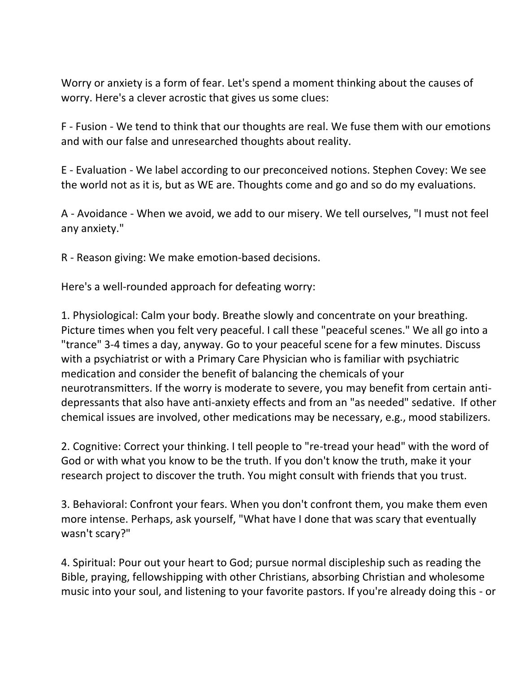Worry or anxiety is a form of fear. Let's spend a moment thinking about the causes of worry. Here's a clever acrostic that gives us some clues:

F - Fusion - We tend to think that our thoughts are real. We fuse them with our emotions and with our false and unresearched thoughts about reality.

E - Evaluation - We label according to our preconceived notions. Stephen Covey: We see the world not as it is, but as WE are. Thoughts come and go and so do my evaluations.

A - Avoidance - When we avoid, we add to our misery. We tell ourselves, "I must not feel any anxiety."

R - Reason giving: We make emotion-based decisions.

Here's a well-rounded approach for defeating worry:

1. Physiological: Calm your body. Breathe slowly and concentrate on your breathing. Picture times when you felt very peaceful. I call these "peaceful scenes." We all go into a "trance" 3-4 times a day, anyway. Go to your peaceful scene for a few minutes. Discuss with a psychiatrist or with a Primary Care Physician who is familiar with psychiatric medication and consider the benefit of balancing the chemicals of your neurotransmitters. If the worry is moderate to severe, you may benefit from certain antidepressants that also have anti-anxiety effects and from an "as needed" sedative. If other chemical issues are involved, other medications may be necessary, e.g., mood stabilizers.

2. Cognitive: Correct your thinking. I tell people to "re-tread your head" with the word of God or with what you know to be the truth. If you don't know the truth, make it your research project to discover the truth. You might consult with friends that you trust.

3. Behavioral: Confront your fears. When you don't confront them, you make them even more intense. Perhaps, ask yourself, "What have I done that was scary that eventually wasn't scary?"

4. Spiritual: Pour out your heart to God; pursue normal discipleship such as reading the Bible, praying, fellowshipping with other Christians, absorbing Christian and wholesome music into your soul, and listening to your favorite pastors. If you're already doing this - or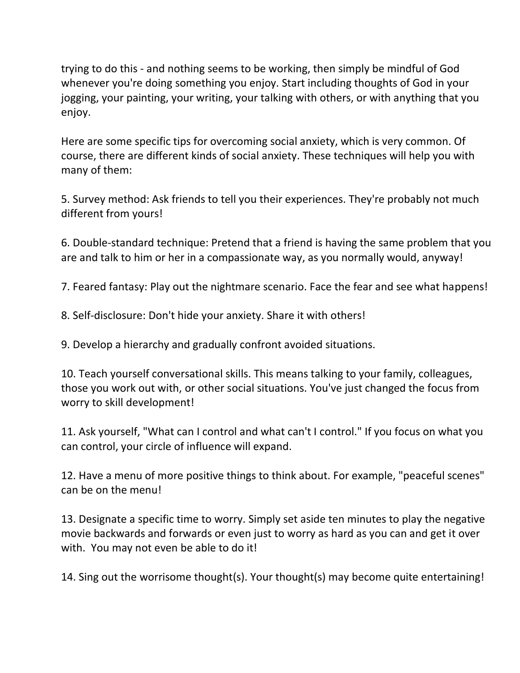trying to do this - and nothing seems to be working, then simply be mindful of God whenever you're doing something you enjoy. Start including thoughts of God in your jogging, your painting, your writing, your talking with others, or with anything that you enjoy.

Here are some specific tips for overcoming social anxiety, which is very common. Of course, there are different kinds of social anxiety. These techniques will help you with many of them:

5. Survey method: Ask friends to tell you their experiences. They're probably not much different from yours!

6. Double-standard technique: Pretend that a friend is having the same problem that you are and talk to him or her in a compassionate way, as you normally would, anyway!

7. Feared fantasy: Play out the nightmare scenario. Face the fear and see what happens!

8. Self-disclosure: Don't hide your anxiety. Share it with others!

9. Develop a hierarchy and gradually confront avoided situations.

10. Teach yourself conversational skills. This means talking to your family, colleagues, those you work out with, or other social situations. You've just changed the focus from worry to skill development!

11. Ask yourself, "What can I control and what can't I control." If you focus on what you can control, your circle of influence will expand.

12. Have a menu of more positive things to think about. For example, "peaceful scenes" can be on the menu!

13. Designate a specific time to worry. Simply set aside ten minutes to play the negative movie backwards and forwards or even just to worry as hard as you can and get it over with. You may not even be able to do it!

14. Sing out the worrisome thought(s). Your thought(s) may become quite entertaining!